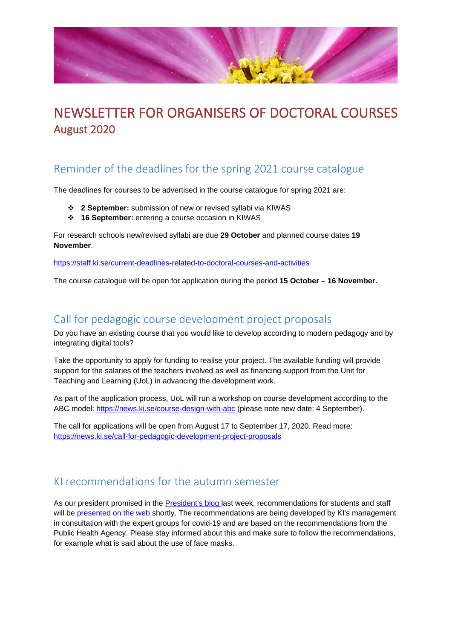

# NEWSLETTER FOR ORGANISERS OF DOCTORAL COURSES August 2020

## Reminder of the deadlines for the spring 2021 course catalogue

The deadlines for courses to be advertised in the course catalogue for spring 2021 are:

- **2 September:** submission of new or revised syllabi via KIWAS
- **16 September:** entering a course occasion in KIWAS

For research schools new/revised syllabi are due **29 October** and planned course dates **19 November**.

<https://staff.ki.se/current-deadlines-related-to-doctoral-courses-and-activities>

The course catalogue will be open for application during the period **15 October – 16 November.**

#### Call for pedagogic course development project proposals

Do you have an existing course that you would like to develop according to modern pedagogy and by integrating digital tools?

Take the opportunity to apply for funding to realise your project. The available funding will provide support for the salaries of the teachers involved as well as financing support from the Unit for Teaching and Learning (UoL) in advancing the development work.

As part of the application process, UoL will run a workshop on course development according to the ABC model:<https://news.ki.se/course-design-with-abc> (please note new date: 4 September).

The call for applications will be open from August 17 to September 17, 2020. Read more: <https://news.ki.se/call-for-pedagogic-development-project-proposals>

### KI recommendations for the autumn semester

As our president promised in the [President's blog la](https://blog.ki.se/rektor/safe-and-responsible-return-to-campus)st week, recommendations for students and staff will be [presented on the web s](https://news.ki.se/information-for-staff-and-students-regarding-covid-19)hortly. The recommendations are being developed by KI's management in consultation with the expert groups for covid-19 and are based on the recommendations from the Public Health Agency. Please stay informed about this and make sure to follow the recommendations, for example what is said about the use of face masks.